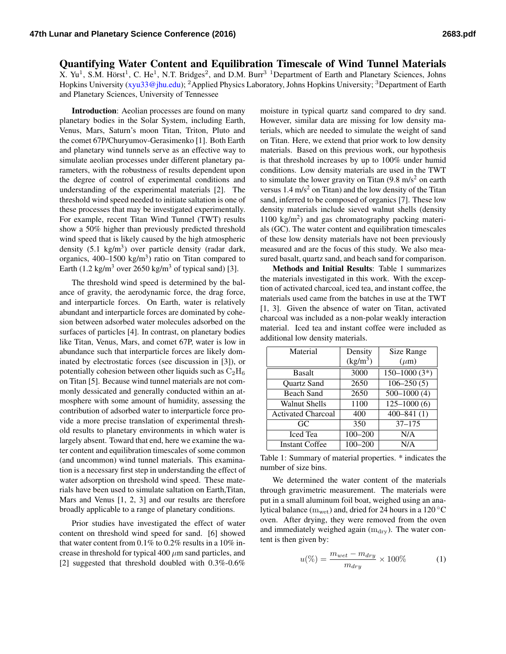## Quantifying Water Content and Equilibration Timescale of Wind Tunnel Materials X. Yu<sup>1</sup>, S.M. Hörst<sup>1</sup>, C. He<sup>1</sup>, N.T. Bridges<sup>2</sup>, and D.M. Burr<sup>3</sup> <sup>1</sup>Department of Earth and Planetary Sciences, Johns Hopkins University [\(xyu33@jhu.edu\)](mailto:xyu33@jhu.edu); <sup>2</sup>Applied Physics Laboratory, Johns Hopkins University; <sup>3</sup>Department of Earth and Planetary Sciences, University of Tennessee

Introduction: Aeolian processes are found on many planetary bodies in the Solar System, including Earth, Venus, Mars, Saturn's moon Titan, Triton, Pluto and the comet 67P/Churyumov-Gerasimenko [1]. Both Earth and planetary wind tunnels serve as an effective way to simulate aeolian processes under different planetary parameters, with the robustness of results dependent upon the degree of control of experimental conditions and understanding of the experimental materials [2]. The threshold wind speed needed to initiate saltation is one of these processes that may be investigated experimentally. For example, recent Titan Wind Tunnel (TWT) results show a 50% higher than previously predicted threshold wind speed that is likely caused by the high atmospheric density  $(5.1 \text{ kg/m}^3)$  over particle density (radar dark, organics,  $400-1500$  kg/m<sup>3</sup>) ratio on Titan compared to Earth (1.2 kg/m<sup>3</sup> over 2650 kg/m<sup>3</sup> of typical sand) [3].

The threshold wind speed is determined by the balance of gravity, the aerodynamic force, the drag force, and interparticle forces. On Earth, water is relatively abundant and interparticle forces are dominated by cohesion between adsorbed water molecules adsorbed on the surfaces of particles [4]. In contrast, on planetary bodies like Titan, Venus, Mars, and comet 67P, water is low in abundance such that interparticle forces are likely dominated by electrostatic forces (see discussion in [3]), or potentially cohesion between other liquids such as  $C_2H_6$ on Titan [5]. Because wind tunnel materials are not commonly dessicated and generally conducted within an atmosphere with some amount of humidity, assessing the contribution of adsorbed water to interparticle force provide a more precise translation of experimental threshold results to planetary environments in which water is largely absent. Toward that end, here we examine the water content and equilibration timescales of some common (and uncommon) wind tunnel materials. This examination is a necessary first step in understanding the effect of water adsorption on threshold wind speed. These materials have been used to simulate saltation on Earth,Titan, Mars and Venus [1, 2, 3] and our results are therefore broadly applicable to a range of planetary conditions.

Prior studies have investigated the effect of water content on threshold wind speed for sand. [6] showed that water content from 0.1% to 0.2% results in a 10% increase in threshold for typical 400  $\mu$ m sand particles, and [2] suggested that threshold doubled with 0.3%-0.6% moisture in typical quartz sand compared to dry sand. However, similar data are missing for low density materials, which are needed to simulate the weight of sand on Titan. Here, we extend that prior work to low density materials. Based on this previous work, our hypothesis is that threshold increases by up to 100% under humid conditions. Low density materials are used in the TWT to simulate the lower gravity on Titan  $(9.8 \text{ m/s}^2)$  on earth versus  $1.4 \text{ m/s}^2$  on Titan) and the low density of the Titan sand, inferred to be composed of organics [7]. These low density materials include sieved walnut shells (density 1100 kg/m<sup>2</sup> ) and gas chromatography packing materials (GC). The water content and equilibration timescales of these low density materials have not been previously measured and are the focus of this study. We also measured basalt, quartz sand, and beach sand for comparison.

Methods and Initial Results: Table [1](#page-0-0) summarizes the materials investigated in this work. With the exception of activated charcoal, iced tea, and instant coffee, the materials used came from the batches in use at the TWT [1, 3]. Given the absence of water on Titan, activated charcoal was included as a non-polar weakly interaction material. Iced tea and instant coffee were included as additional low density materials.

| Material                  | Density     | Size Range       |
|---------------------------|-------------|------------------|
|                           | $(kg/m^3)$  | $(\mu m)$        |
| <b>Basalt</b>             | 3000        | $150 - 1000(3*)$ |
| <b>Ouartz Sand</b>        | 2650        | $106 - 250(5)$   |
| <b>Beach Sand</b>         | 2650        | $500-1000(4)$    |
| <b>Walnut Shells</b>      | 1100        | $125 - 1000(6)$  |
| <b>Activated Charcoal</b> | 400         | $400 - 841(1)$   |
| GC                        | 350         | $37 - 175$       |
| <b>Iced</b> Tea           | $100 - 200$ | N/A              |
| <b>Instant Coffee</b>     | 100-200     | N/A              |

<span id="page-0-0"></span>Table 1: Summary of material properties. \* indicates the number of size bins.

We determined the water content of the materials through gravimetric measurement. The materials were put in a small aluminum foil boat, weighed using an analytical balance ( $m_{wet}$ ) and, dried for 24 hours in a 120 °C oven. After drying, they were removed from the oven and immediately weighed again  $(m_{\text{dry}})$ . The water content is then given by:

$$
u(\%) = \frac{m_{wet} - m_{dry}}{m_{dry}} \times 100\%
$$
 (1)